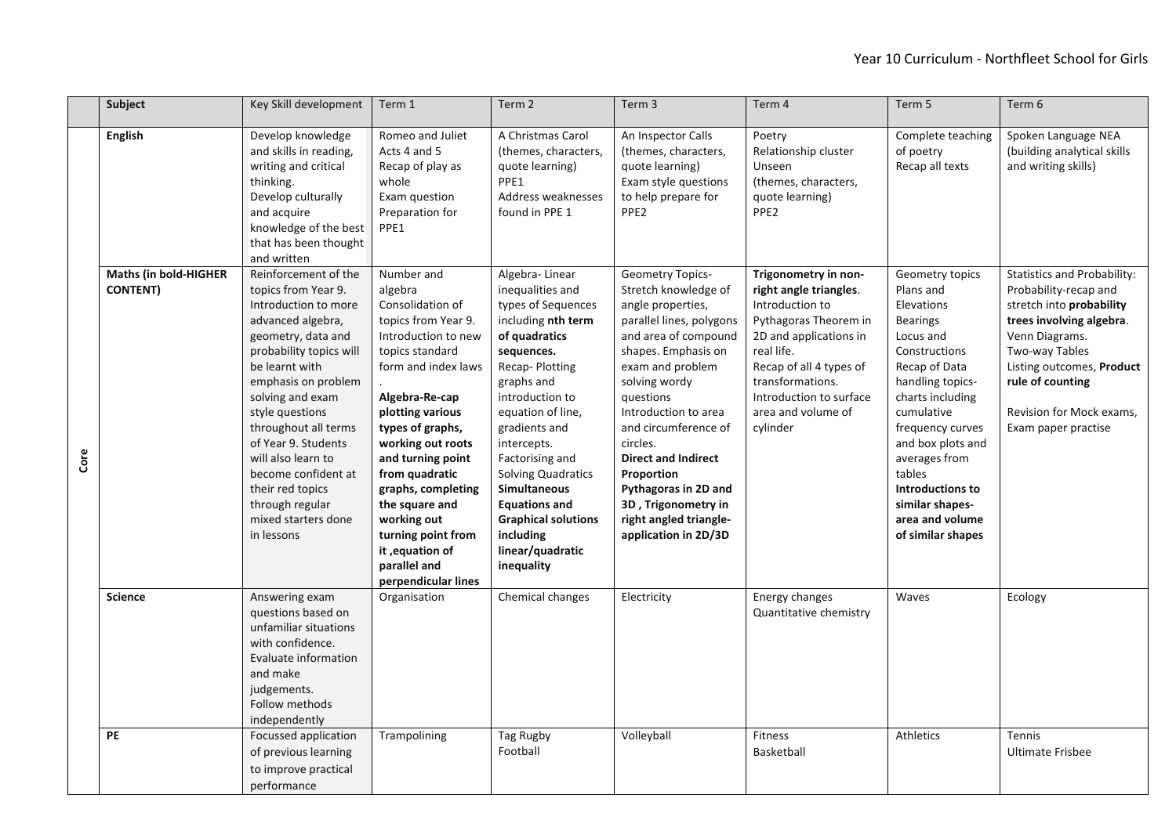|      | Subject                                  | Key Skill development                                                                                                                                                                                                                                                                                                                                                                             | Term 1                                                                                                                                                                                                                                                                                                                                                                                         | Term 2                                                                                                                                                                                                                                                                                                                                                                                            | Term 3                                                                                                                                                                                                                                                                                                                                                                                                     | Term 4                                                                                                                                                                                                                                         | Term 5                                                                                                                                                                                                                                                                                                                       | Term 6                                                                                                                                                                                                                                                      |
|------|------------------------------------------|---------------------------------------------------------------------------------------------------------------------------------------------------------------------------------------------------------------------------------------------------------------------------------------------------------------------------------------------------------------------------------------------------|------------------------------------------------------------------------------------------------------------------------------------------------------------------------------------------------------------------------------------------------------------------------------------------------------------------------------------------------------------------------------------------------|---------------------------------------------------------------------------------------------------------------------------------------------------------------------------------------------------------------------------------------------------------------------------------------------------------------------------------------------------------------------------------------------------|------------------------------------------------------------------------------------------------------------------------------------------------------------------------------------------------------------------------------------------------------------------------------------------------------------------------------------------------------------------------------------------------------------|------------------------------------------------------------------------------------------------------------------------------------------------------------------------------------------------------------------------------------------------|------------------------------------------------------------------------------------------------------------------------------------------------------------------------------------------------------------------------------------------------------------------------------------------------------------------------------|-------------------------------------------------------------------------------------------------------------------------------------------------------------------------------------------------------------------------------------------------------------|
|      | <b>English</b>                           | Develop knowledge<br>and skills in reading,<br>writing and critical<br>thinking.<br>Develop culturally<br>and acquire<br>knowledge of the best<br>that has been thought<br>and written                                                                                                                                                                                                            | Romeo and Juliet<br>Acts 4 and 5<br>Recap of play as<br>whole<br>Exam question<br>Preparation for<br>PPE1                                                                                                                                                                                                                                                                                      | A Christmas Carol<br>(themes, characters,<br>quote learning)<br>PPE1<br>Address weaknesses<br>found in PPE 1                                                                                                                                                                                                                                                                                      | An Inspector Calls<br>(themes, characters,<br>quote learning)<br>Exam style questions<br>to help prepare for<br>PPE <sub>2</sub>                                                                                                                                                                                                                                                                           | Poetry<br>Relationship cluster<br>Unseen<br>(themes, characters,<br>quote learning)<br>PPE2                                                                                                                                                    | Complete teaching<br>of poetry<br>Recap all texts                                                                                                                                                                                                                                                                            | Spoken Language NEA<br>(building analytical skills<br>and writing skills)                                                                                                                                                                                   |
| Core | Maths (in bold-HIGHER<br><b>CONTENT)</b> | Reinforcement of the<br>topics from Year 9.<br>Introduction to more<br>advanced algebra,<br>geometry, data and<br>probability topics will<br>be learnt with<br>emphasis on problem<br>solving and exam<br>style questions<br>throughout all terms<br>of Year 9. Students<br>will also learn to<br>become confident at<br>their red topics<br>through regular<br>mixed starters done<br>in lessons | Number and<br>algebra<br>Consolidation of<br>topics from Year 9.<br>Introduction to new<br>topics standard<br>form and index laws<br>Algebra-Re-cap<br>plotting various<br>types of graphs,<br>working out roots<br>and turning point<br>from quadratic<br>graphs, completing<br>the square and<br>working out<br>turning point from<br>it, equation of<br>parallel and<br>perpendicular lines | Algebra-Linear<br>inequalities and<br>types of Sequences<br>including nth term<br>of quadratics<br>sequences.<br>Recap-Plotting<br>graphs and<br>introduction to<br>equation of line,<br>gradients and<br>intercepts.<br>Factorising and<br><b>Solving Quadratics</b><br><b>Simultaneous</b><br><b>Equations and</b><br><b>Graphical solutions</b><br>including<br>linear/quadratic<br>inequality | <b>Geometry Topics-</b><br>Stretch knowledge of<br>angle properties,<br>parallel lines, polygons<br>and area of compound<br>shapes. Emphasis on<br>exam and problem<br>solving wordy<br>questions<br>Introduction to area<br>and circumference of<br>circles.<br><b>Direct and Indirect</b><br>Proportion<br>Pythagoras in 2D and<br>3D, Trigonometry in<br>right angled triangle-<br>application in 2D/3D | Trigonometry in non-<br>right angle triangles.<br>Introduction to<br>Pythagoras Theorem in<br>2D and applications in<br>real life.<br>Recap of all 4 types of<br>transformations.<br>Introduction to surface<br>area and volume of<br>cylinder | Geometry topics<br>Plans and<br>Elevations<br><b>Bearings</b><br>Locus and<br>Constructions<br>Recap of Data<br>handling topics-<br>charts including<br>cumulative<br>frequency curves<br>and box plots and<br>averages from<br>tables<br><b>Introductions to</b><br>similar shapes-<br>area and volume<br>of similar shapes | <b>Statistics and Probability:</b><br>Probability-recap and<br>stretch into probability<br>trees involving algebra.<br>Venn Diagrams.<br>Two-way Tables<br>Listing outcomes, Product<br>rule of counting<br>Revision for Mock exams.<br>Exam paper practise |
|      | <b>Science</b>                           | Answering exam<br>questions based on<br>unfamiliar situations<br>with confidence.<br>Evaluate information<br>and make<br>judgements.<br>Follow methods<br>independently                                                                                                                                                                                                                           | Organisation                                                                                                                                                                                                                                                                                                                                                                                   | Chemical changes                                                                                                                                                                                                                                                                                                                                                                                  | Electricity                                                                                                                                                                                                                                                                                                                                                                                                | Energy changes<br>Quantitative chemistry                                                                                                                                                                                                       | Waves                                                                                                                                                                                                                                                                                                                        | Ecology                                                                                                                                                                                                                                                     |
|      | <b>PE</b>                                | Focussed application<br>of previous learning<br>to improve practical<br>performance                                                                                                                                                                                                                                                                                                               | Trampolining                                                                                                                                                                                                                                                                                                                                                                                   | Tag Rugby<br>Football                                                                                                                                                                                                                                                                                                                                                                             | Volleyball                                                                                                                                                                                                                                                                                                                                                                                                 | <b>Fitness</b><br>Basketball                                                                                                                                                                                                                   | <b>Athletics</b>                                                                                                                                                                                                                                                                                                             | Tennis<br><b>Ultimate Frisbee</b>                                                                                                                                                                                                                           |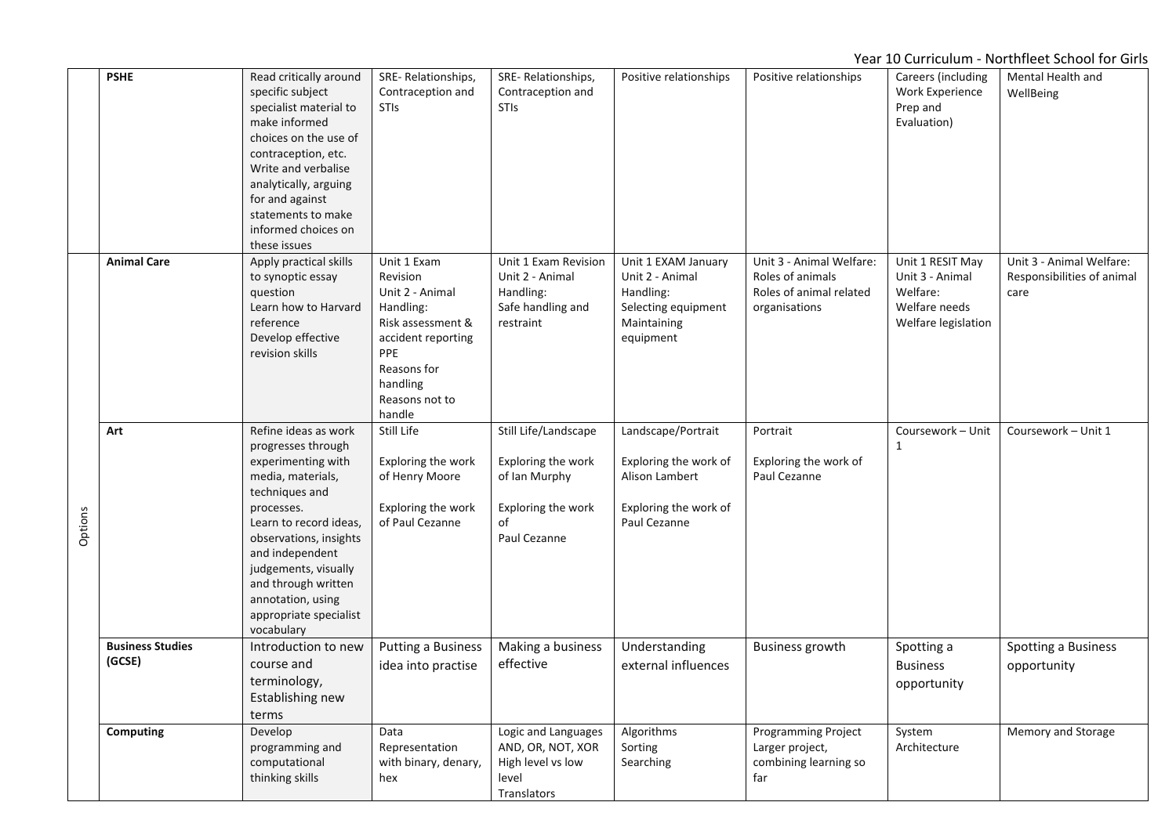|         | <b>PSHE</b>                       | Read critically around<br>specific subject<br>specialist material to<br>make informed<br>choices on the use of<br>contraception, etc.<br>Write and verbalise<br>analytically, arguing<br>for and against<br>statements to make<br>informed choices on<br>these issues                                    | SRE-Relationships,<br>Contraception and<br><b>STIS</b>                                                                                                           | SRE-Relationships,<br>Contraception and<br><b>STIs</b>                                                  | Positive relationships                                                                                 | Positive relationships                                                                   | Careers (including<br>Work Experience<br>Prep and<br>Evaluation)                        | Mental Health and<br>WellBeing                                 |
|---------|-----------------------------------|----------------------------------------------------------------------------------------------------------------------------------------------------------------------------------------------------------------------------------------------------------------------------------------------------------|------------------------------------------------------------------------------------------------------------------------------------------------------------------|---------------------------------------------------------------------------------------------------------|--------------------------------------------------------------------------------------------------------|------------------------------------------------------------------------------------------|-----------------------------------------------------------------------------------------|----------------------------------------------------------------|
|         | <b>Animal Care</b>                | Apply practical skills<br>to synoptic essay<br>question<br>Learn how to Harvard<br>reference<br>Develop effective<br>revision skills                                                                                                                                                                     | Unit 1 Exam<br>Revision<br>Unit 2 - Animal<br>Handling:<br>Risk assessment &<br>accident reporting<br>PPE<br>Reasons for<br>handling<br>Reasons not to<br>handle | Unit 1 Exam Revision<br>Unit 2 - Animal<br>Handling:<br>Safe handling and<br>restraint                  | Unit 1 EXAM January<br>Unit 2 - Animal<br>Handling:<br>Selecting equipment<br>Maintaining<br>equipment | Unit 3 - Animal Welfare:<br>Roles of animals<br>Roles of animal related<br>organisations | Unit 1 RESIT May<br>Unit 3 - Animal<br>Welfare:<br>Welfare needs<br>Welfare legislation | Unit 3 - Animal Welfare:<br>Responsibilities of animal<br>care |
| Options | Art                               | Refine ideas as work<br>progresses through<br>experimenting with<br>media, materials,<br>techniques and<br>processes.<br>Learn to record ideas,<br>observations, insights<br>and independent<br>judgements, visually<br>and through written<br>annotation, using<br>appropriate specialist<br>vocabulary | Still Life<br>Exploring the work<br>of Henry Moore<br>Exploring the work<br>of Paul Cezanne                                                                      | Still Life/Landscape<br>Exploring the work<br>of Ian Murphy<br>Exploring the work<br>of<br>Paul Cezanne | Landscape/Portrait<br>Exploring the work of<br>Alison Lambert<br>Exploring the work of<br>Paul Cezanne | Portrait<br>Exploring the work of<br>Paul Cezanne                                        | Coursework - Unit<br>1                                                                  | Coursework - Unit 1                                            |
|         | <b>Business Studies</b><br>(GCSE) | Introduction to new<br>course and<br>terminology,<br>Establishing new<br>terms                                                                                                                                                                                                                           | <b>Putting a Business</b><br>idea into practise                                                                                                                  | Making a business<br>effective                                                                          | Understanding<br>external influences                                                                   | <b>Business growth</b>                                                                   | Spotting a<br><b>Business</b><br>opportunity                                            | Spotting a Business<br>opportunity                             |
|         | <b>Computing</b>                  | Develop<br>programming and<br>computational<br>thinking skills                                                                                                                                                                                                                                           | Data<br>Representation<br>with binary, denary,<br>hex                                                                                                            | Logic and Languages<br>AND, OR, NOT, XOR<br>High level vs low<br>level<br>Translators                   | Algorithms<br>Sorting<br>Searching                                                                     | Programming Project<br>Larger project,<br>combining learning so<br>far                   | System<br>Architecture                                                                  | Memory and Storage                                             |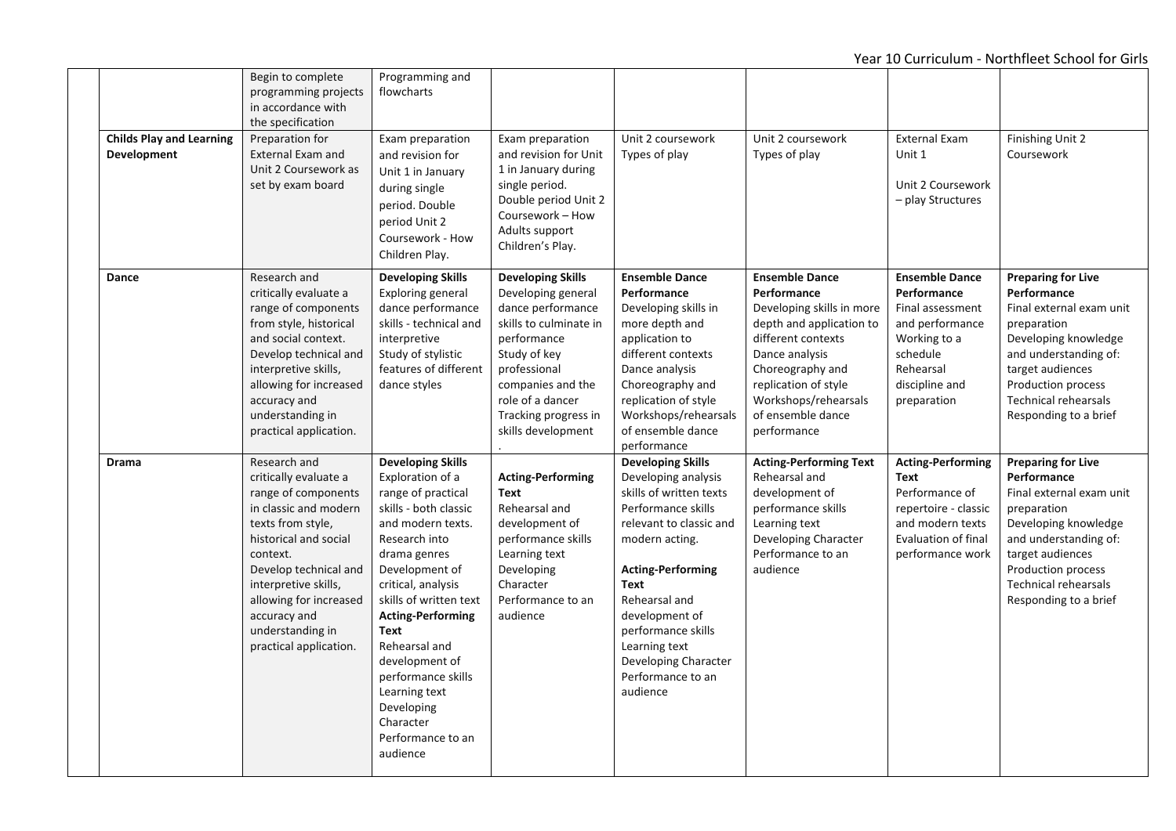| <b>Childs Play and Learning</b><br><b>Development</b> | Begin to complete<br>programming projects<br>in accordance with<br>the specification<br>Preparation for<br><b>External Exam and</b><br>Unit 2 Coursework as<br>set by exam board                                                                                                         | Programming and<br>flowcharts<br>Exam preparation<br>and revision for<br>Unit 1 in January<br>during single<br>period. Double<br>period Unit 2<br>Coursework - How                                                                                                                                                                                                                            | Exam preparation<br>and revision for Unit<br>1 in January during<br>single period.<br>Double period Unit 2<br>Coursework - How<br>Adults support<br>Children's Play.                                                                | Unit 2 coursework<br>Types of play                                                                                                                                                                                                                                                                                          | Unit 2 coursework<br>Types of play                                                                                                                                                                                                            | External Exam<br>Unit 1<br>Unit 2 Coursework<br>- play Structures                                                                                     | Finishing Unit 2<br>Coursework                                                                                                                                                                                                         |
|-------------------------------------------------------|------------------------------------------------------------------------------------------------------------------------------------------------------------------------------------------------------------------------------------------------------------------------------------------|-----------------------------------------------------------------------------------------------------------------------------------------------------------------------------------------------------------------------------------------------------------------------------------------------------------------------------------------------------------------------------------------------|-------------------------------------------------------------------------------------------------------------------------------------------------------------------------------------------------------------------------------------|-----------------------------------------------------------------------------------------------------------------------------------------------------------------------------------------------------------------------------------------------------------------------------------------------------------------------------|-----------------------------------------------------------------------------------------------------------------------------------------------------------------------------------------------------------------------------------------------|-------------------------------------------------------------------------------------------------------------------------------------------------------|----------------------------------------------------------------------------------------------------------------------------------------------------------------------------------------------------------------------------------------|
| Dance                                                 | Research and<br>critically evaluate a<br>range of components<br>from style, historical<br>and social context.<br>Develop technical and<br>interpretive skills,<br>allowing for increased<br>accuracy and<br>understanding in<br>practical application.                                   | Children Play.<br><b>Developing Skills</b><br>Exploring general<br>dance performance<br>skills - technical and<br>interpretive<br>Study of stylistic<br>features of different<br>dance styles                                                                                                                                                                                                 | <b>Developing Skills</b><br>Developing general<br>dance performance<br>skills to culminate in<br>performance<br>Study of key<br>professional<br>companies and the<br>role of a dancer<br>Tracking progress in<br>skills development | <b>Ensemble Dance</b><br>Performance<br>Developing skills in<br>more depth and<br>application to<br>different contexts<br>Dance analysis<br>Choreography and<br>replication of style<br>Workshops/rehearsals<br>of ensemble dance<br>performance                                                                            | <b>Ensemble Dance</b><br>Performance<br>Developing skills in more<br>depth and application to<br>different contexts<br>Dance analysis<br>Choreography and<br>replication of style<br>Workshops/rehearsals<br>of ensemble dance<br>performance | <b>Ensemble Dance</b><br>Performance<br>Final assessment<br>and performance<br>Working to a<br>schedule<br>Rehearsal<br>discipline and<br>preparation | <b>Preparing for Live</b><br>Performance<br>Final external exam unit<br>preparation<br>Developing knowledge<br>and understanding of:<br>target audiences<br>Production process<br>Technical rehearsals<br>Responding to a brief        |
| <b>Drama</b>                                          | Research and<br>critically evaluate a<br>range of components<br>in classic and modern<br>texts from style,<br>historical and social<br>context.<br>Develop technical and<br>interpretive skills,<br>allowing for increased<br>accuracy and<br>understanding in<br>practical application. | <b>Developing Skills</b><br>Exploration of a<br>range of practical<br>skills - both classic<br>and modern texts.<br>Research into<br>drama genres<br>Development of<br>critical, analysis<br>skills of written text<br><b>Acting-Performing</b><br>Text<br>Rehearsal and<br>development of<br>performance skills<br>Learning text<br>Developing<br>Character<br>Performance to an<br>audience | <b>Acting-Performing</b><br><b>Text</b><br>Rehearsal and<br>development of<br>performance skills<br>Learning text<br>Developing<br>Character<br>Performance to an<br>audience                                                       | <b>Developing Skills</b><br>Developing analysis<br>skills of written texts<br>Performance skills<br>relevant to classic and<br>modern acting.<br><b>Acting-Performing</b><br><b>Text</b><br>Rehearsal and<br>development of<br>performance skills<br>Learning text<br>Developing Character<br>Performance to an<br>audience | <b>Acting-Performing Text</b><br>Rehearsal and<br>development of<br>performance skills<br>Learning text<br>Developing Character<br>Performance to an<br>audience                                                                              | <b>Acting-Performing</b><br>Text<br>Performance of<br>repertoire - classic<br>and modern texts<br>Evaluation of final<br>performance work             | <b>Preparing for Live</b><br>Performance<br>Final external exam unit<br>preparation<br>Developing knowledge<br>and understanding of:<br>target audiences<br>Production process<br><b>Technical rehearsals</b><br>Responding to a brief |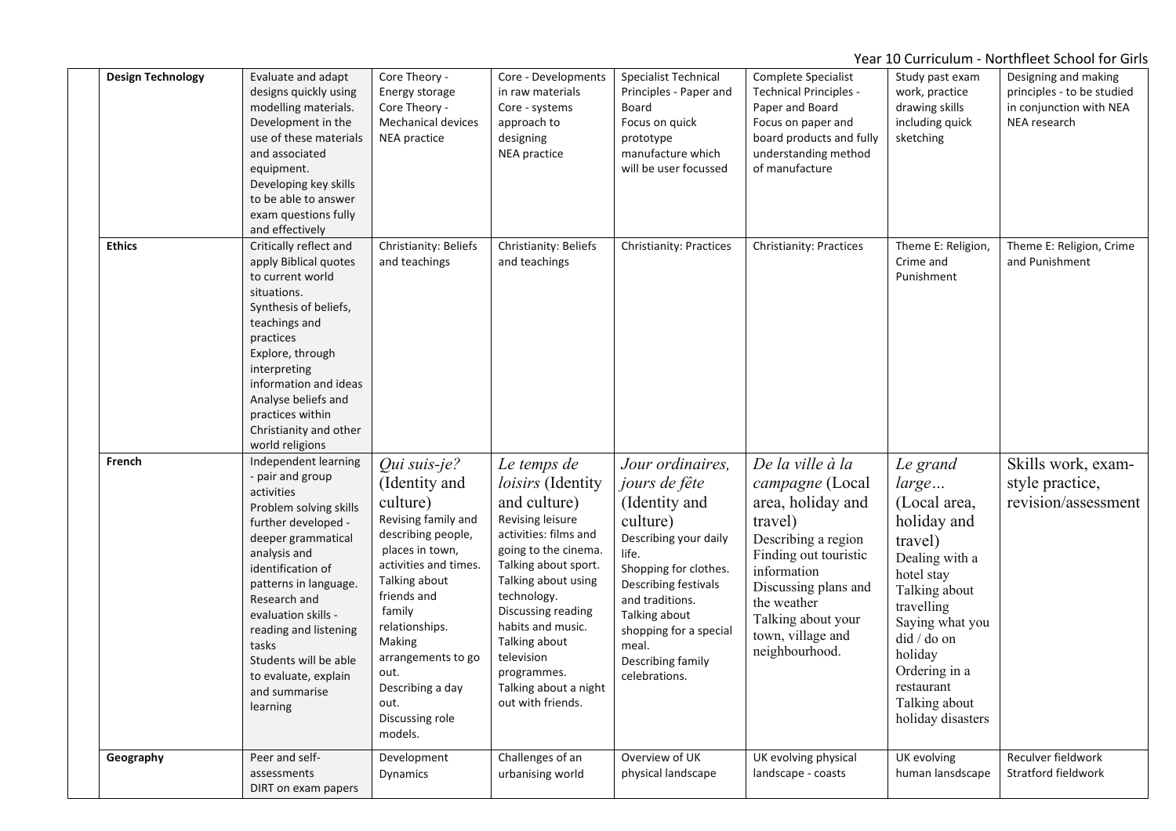| <b>Design Technology</b> | Evaluate and adapt<br>designs quickly using<br>modelling materials.<br>Development in the<br>use of these materials<br>and associated<br>equipment.<br>Developing key skills<br>to be able to answer<br>exam questions fully<br>and effectively                                                                                                    | Core Theory -<br>Energy storage<br>Core Theory -<br><b>Mechanical devices</b><br><b>NEA</b> practice                                                                                                                                                                                             | Core - Developments<br>in raw materials<br>Core - systems<br>approach to<br>designing<br><b>NEA</b> practice                                                                                                                                                                                                               | Specialist Technical<br>Principles - Paper and<br>Board<br>Focus on quick<br>prototype<br>manufacture which<br>will be user focussed                                                                                                                           | Complete Specialist<br><b>Technical Principles -</b><br>Paper and Board<br>Focus on paper and<br>board products and fully<br>understanding method<br>of manufacture                                                                    | Study past exam<br>work, practice<br>drawing skills<br>including quick<br>sketching                                                                                                                                                          | Designing and making<br>principles - to be studied<br>in conjunction with NEA<br>NEA research |
|--------------------------|----------------------------------------------------------------------------------------------------------------------------------------------------------------------------------------------------------------------------------------------------------------------------------------------------------------------------------------------------|--------------------------------------------------------------------------------------------------------------------------------------------------------------------------------------------------------------------------------------------------------------------------------------------------|----------------------------------------------------------------------------------------------------------------------------------------------------------------------------------------------------------------------------------------------------------------------------------------------------------------------------|----------------------------------------------------------------------------------------------------------------------------------------------------------------------------------------------------------------------------------------------------------------|----------------------------------------------------------------------------------------------------------------------------------------------------------------------------------------------------------------------------------------|----------------------------------------------------------------------------------------------------------------------------------------------------------------------------------------------------------------------------------------------|-----------------------------------------------------------------------------------------------|
| <b>Ethics</b>            | Critically reflect and<br>apply Biblical quotes<br>to current world<br>situations.<br>Synthesis of beliefs,<br>teachings and<br>practices<br>Explore, through<br>interpreting<br>information and ideas<br>Analyse beliefs and<br>practices within<br>Christianity and other<br>world religions                                                     | Christianity: Beliefs<br>and teachings                                                                                                                                                                                                                                                           | Christianity: Beliefs<br>and teachings                                                                                                                                                                                                                                                                                     | Christianity: Practices                                                                                                                                                                                                                                        | Christianity: Practices                                                                                                                                                                                                                | Theme E: Religion,<br>Crime and<br>Punishment                                                                                                                                                                                                | Theme E: Religion, Crime<br>and Punishment                                                    |
| French                   | Independent learning<br>- pair and group<br>activities<br>Problem solving skills<br>further developed -<br>deeper grammatical<br>analysis and<br>identification of<br>patterns in language.<br>Research and<br>evaluation skills -<br>reading and listening<br>tasks<br>Students will be able<br>to evaluate, explain<br>and summarise<br>learning | Qui suis-je?<br>(Identity and<br>culture)<br>Revising family and<br>describing people,<br>places in town,<br>activities and times.<br>Talking about<br>friends and<br>family<br>relationships.<br>Making<br>arrangements to go<br>out.<br>Describing a day<br>out.<br>Discussing role<br>models. | Le temps de<br>loisirs (Identity<br>and culture)<br>Revising leisure<br>activities: films and<br>going to the cinema.<br>Talking about sport.<br>Talking about using<br>technology.<br>Discussing reading<br>habits and music.<br>Talking about<br>television<br>programmes.<br>Talking about a night<br>out with friends. | Jour ordinaires,<br>jours de fête<br>(Identity and<br>culture)<br>Describing your daily<br>life.<br>Shopping for clothes.<br>Describing festivals<br>and traditions.<br>Talking about<br>shopping for a special<br>meal.<br>Describing family<br>celebrations. | De la ville à la<br>campagne (Local<br>area, holiday and<br>travel)<br>Describing a region<br>Finding out touristic<br>information<br>Discussing plans and<br>the weather<br>Talking about your<br>town, village and<br>neighbourhood. | Le grand<br>large<br>(Local area,<br>holiday and<br>travel)<br>Dealing with a<br>hotel stay<br>Talking about<br>travelling<br>Saying what you<br>did / do on<br>holiday<br>Ordering in a<br>restaurant<br>Talking about<br>holiday disasters | Skills work, exam-<br>style practice,<br>revision/assessment                                  |
| Geography                | Peer and self-<br>assessments<br>DIRT on exam papers                                                                                                                                                                                                                                                                                               | Development<br>Dynamics                                                                                                                                                                                                                                                                          | Challenges of an<br>urbanising world                                                                                                                                                                                                                                                                                       | Overview of UK<br>physical landscape                                                                                                                                                                                                                           | UK evolving physical<br>landscape - coasts                                                                                                                                                                                             | UK evolving<br>human lansdscape                                                                                                                                                                                                              | Reculver fieldwork<br>Stratford fieldwork                                                     |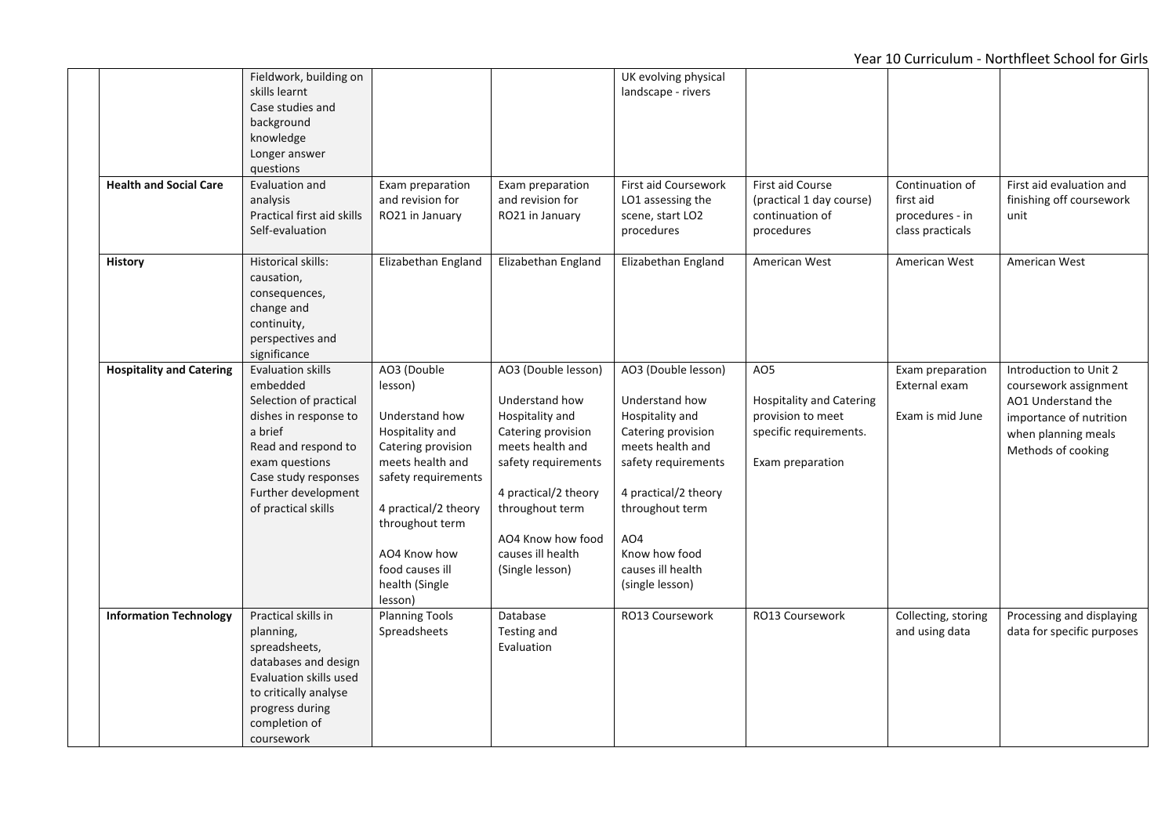|                                 | Fieldwork, building on     |                       |                      | UK evolving physical |                                 |                     |                            |
|---------------------------------|----------------------------|-----------------------|----------------------|----------------------|---------------------------------|---------------------|----------------------------|
|                                 | skills learnt              |                       |                      | landscape - rivers   |                                 |                     |                            |
|                                 | Case studies and           |                       |                      |                      |                                 |                     |                            |
|                                 | background                 |                       |                      |                      |                                 |                     |                            |
|                                 | knowledge                  |                       |                      |                      |                                 |                     |                            |
|                                 | Longer answer              |                       |                      |                      |                                 |                     |                            |
|                                 | questions                  |                       |                      |                      |                                 |                     |                            |
| <b>Health and Social Care</b>   | Evaluation and             | Exam preparation      | Exam preparation     | First aid Coursework | First aid Course                | Continuation of     | First aid evaluation and   |
|                                 | analysis                   | and revision for      | and revision for     | LO1 assessing the    | (practical 1 day course)        | first aid           | finishing off coursework   |
|                                 | Practical first aid skills | RO21 in January       |                      | scene, start LO2     | continuation of                 | procedures - in     |                            |
|                                 | Self-evaluation            |                       | RO21 in January      | procedures           |                                 |                     | unit                       |
|                                 |                            |                       |                      |                      | procedures                      | class practicals    |                            |
| <b>History</b>                  | Historical skills:         | Elizabethan England   | Elizabethan England  | Elizabethan England  | American West                   | American West       | American West              |
|                                 | causation,                 |                       |                      |                      |                                 |                     |                            |
|                                 | consequences,              |                       |                      |                      |                                 |                     |                            |
|                                 | change and                 |                       |                      |                      |                                 |                     |                            |
|                                 | continuity,                |                       |                      |                      |                                 |                     |                            |
|                                 | perspectives and           |                       |                      |                      |                                 |                     |                            |
|                                 | significance               |                       |                      |                      |                                 |                     |                            |
| <b>Hospitality and Catering</b> | <b>Evaluation skills</b>   | AO3 (Double           | AO3 (Double lesson)  | AO3 (Double lesson)  | AO <sub>5</sub>                 | Exam preparation    | Introduction to Unit 2     |
|                                 |                            |                       |                      |                      |                                 |                     |                            |
|                                 | embedded                   | lesson)               |                      |                      |                                 | External exam       | coursework assignment      |
|                                 | Selection of practical     |                       | Understand how       | Understand how       | <b>Hospitality and Catering</b> |                     | AO1 Understand the         |
|                                 | dishes in response to      | Understand how        | Hospitality and      | Hospitality and      | provision to meet               | Exam is mid June    | importance of nutrition    |
|                                 | a brief                    | Hospitality and       | Catering provision   | Catering provision   | specific requirements.          |                     | when planning meals        |
|                                 | Read and respond to        | Catering provision    | meets health and     | meets health and     |                                 |                     | Methods of cooking         |
|                                 | exam questions             | meets health and      | safety requirements  | safety requirements  | Exam preparation                |                     |                            |
|                                 | Case study responses       | safety requirements   |                      |                      |                                 |                     |                            |
|                                 | Further development        |                       | 4 practical/2 theory | 4 practical/2 theory |                                 |                     |                            |
|                                 | of practical skills        | 4 practical/2 theory  | throughout term      | throughout term      |                                 |                     |                            |
|                                 |                            | throughout term       |                      |                      |                                 |                     |                            |
|                                 |                            |                       | AO4 Know how food    | AO4                  |                                 |                     |                            |
|                                 |                            | AO4 Know how          | causes ill health    | Know how food        |                                 |                     |                            |
|                                 |                            | food causes ill       | (Single lesson)      | causes ill health    |                                 |                     |                            |
|                                 |                            | health (Single        |                      | (single lesson)      |                                 |                     |                            |
|                                 |                            | lesson)               |                      |                      |                                 |                     |                            |
| <b>Information Technology</b>   | Practical skills in        | <b>Planning Tools</b> | Database             | RO13 Coursework      | RO13 Coursework                 | Collecting, storing | Processing and displaying  |
|                                 | planning,                  | Spreadsheets          | Testing and          |                      |                                 | and using data      | data for specific purposes |
|                                 | spreadsheets,              |                       | Evaluation           |                      |                                 |                     |                            |
|                                 | databases and design       |                       |                      |                      |                                 |                     |                            |
|                                 | Evaluation skills used     |                       |                      |                      |                                 |                     |                            |
|                                 | to critically analyse      |                       |                      |                      |                                 |                     |                            |
|                                 |                            |                       |                      |                      |                                 |                     |                            |
|                                 | progress during            |                       |                      |                      |                                 |                     |                            |
|                                 | completion of              |                       |                      |                      |                                 |                     |                            |
|                                 | coursework                 |                       |                      |                      |                                 |                     |                            |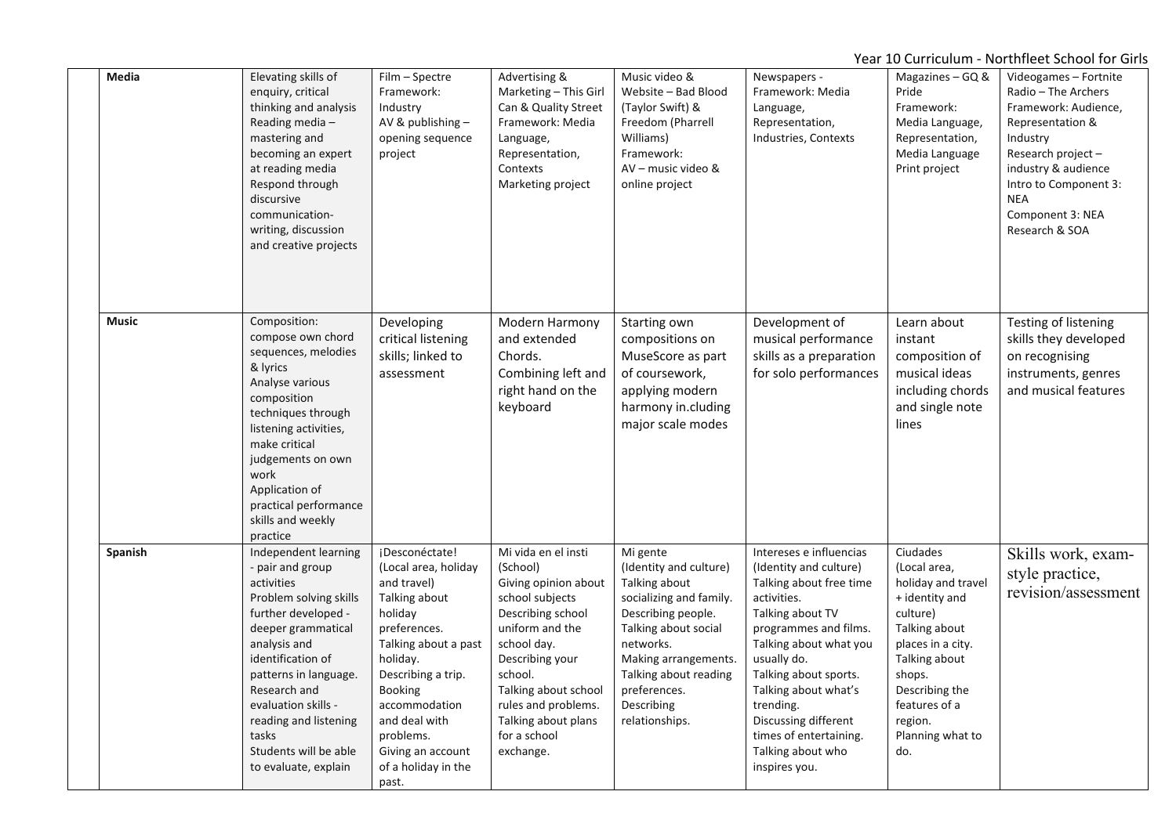| Media        | Elevating skills of<br>enquiry, critical<br>thinking and analysis<br>Reading media-<br>mastering and<br>becoming an expert<br>at reading media<br>Respond through<br>discursive<br>communication-<br>writing, discussion<br>and creative projects                                                                     | Film - Spectre<br>Framework:<br>Industry<br>AV & publishing -<br>opening sequence<br>project                                                                                                                                                                                      | Advertising &<br>Marketing - This Girl<br>Can & Quality Street<br>Framework: Media<br>Language,<br>Representation,<br>Contexts<br>Marketing project                                                                                                                | Music video &<br>Website - Bad Blood<br>(Taylor Swift) &<br>Freedom (Pharrell<br>Williams)<br>Framework:<br>AV - music video &<br>online project                                                                                           | Newspapers -<br>Framework: Media<br>Language,<br>Representation,<br>Industries, Contexts                                                                                                                                                                                                                                                | Magazines $-$ GQ &<br>Pride<br>Framework:<br>Media Language,<br>Representation,<br>Media Language<br>Print project                                                                                                     | Videogames - Fortnite<br>Radio - The Archers<br>Framework: Audience,<br>Representation &<br>Industry<br>Research project-<br>industry & audience<br>Intro to Component 3:<br><b>NEA</b><br>Component 3: NEA<br>Research & SOA |
|--------------|-----------------------------------------------------------------------------------------------------------------------------------------------------------------------------------------------------------------------------------------------------------------------------------------------------------------------|-----------------------------------------------------------------------------------------------------------------------------------------------------------------------------------------------------------------------------------------------------------------------------------|--------------------------------------------------------------------------------------------------------------------------------------------------------------------------------------------------------------------------------------------------------------------|--------------------------------------------------------------------------------------------------------------------------------------------------------------------------------------------------------------------------------------------|-----------------------------------------------------------------------------------------------------------------------------------------------------------------------------------------------------------------------------------------------------------------------------------------------------------------------------------------|------------------------------------------------------------------------------------------------------------------------------------------------------------------------------------------------------------------------|-------------------------------------------------------------------------------------------------------------------------------------------------------------------------------------------------------------------------------|
| <b>Music</b> | Composition:<br>compose own chord<br>sequences, melodies<br>& lyrics<br>Analyse various<br>composition<br>techniques through<br>listening activities,<br>make critical<br>judgements on own<br>work<br>Application of<br>practical performance<br>skills and weekly<br>practice                                       | Developing<br>critical listening<br>skills; linked to<br>assessment                                                                                                                                                                                                               | Modern Harmony<br>and extended<br>Chords.<br>Combining left and<br>right hand on the<br>keyboard                                                                                                                                                                   | Starting own<br>compositions on<br>MuseScore as part<br>of coursework,<br>applying modern<br>harmony in.cluding<br>major scale modes                                                                                                       | Development of<br>musical performance<br>skills as a preparation<br>for solo performances                                                                                                                                                                                                                                               | Learn about<br>instant<br>composition of<br>musical ideas<br>including chords<br>and single note<br>lines                                                                                                              | Testing of listening<br>skills they developed<br>on recognising<br>instruments, genres<br>and musical features                                                                                                                |
| Spanish      | Independent learning<br>- pair and group<br>activities<br>Problem solving skills<br>further developed -<br>deeper grammatical<br>analysis and<br>identification of<br>patterns in language.<br>Research and<br>evaluation skills -<br>reading and listening<br>tasks<br>Students will be able<br>to evaluate, explain | ¡Desconéctate!<br>(Local area, holiday<br>and travel)<br>Talking about<br>holiday<br>preferences.<br>Talking about a past<br>holiday.<br>Describing a trip.<br><b>Booking</b><br>accommodation<br>and deal with<br>problems.<br>Giving an account<br>of a holiday in the<br>past. | Mi vida en el insti<br>(School)<br>Giving opinion about<br>school subjects<br>Describing school<br>uniform and the<br>school day.<br>Describing your<br>school.<br>Talking about school<br>rules and problems.<br>Talking about plans<br>for a school<br>exchange. | Mi gente<br>(Identity and culture)<br>Talking about<br>socializing and family.<br>Describing people.<br>Talking about social<br>networks.<br>Making arrangements.<br>Talking about reading<br>preferences.<br>Describing<br>relationships. | Intereses e influencias<br>(Identity and culture)<br>Talking about free time<br>activities.<br>Talking about TV<br>programmes and films.<br>Talking about what you<br>usually do.<br>Talking about sports.<br>Talking about what's<br>trending.<br>Discussing different<br>times of entertaining.<br>Talking about who<br>inspires you. | Ciudades<br>(Local area,<br>holiday and travel<br>+ identity and<br>culture)<br>Talking about<br>places in a city.<br>Talking about<br>shops.<br>Describing the<br>features of a<br>region.<br>Planning what to<br>do. | Skills work, exam-<br>style practice,<br>revision/assessment                                                                                                                                                                  |